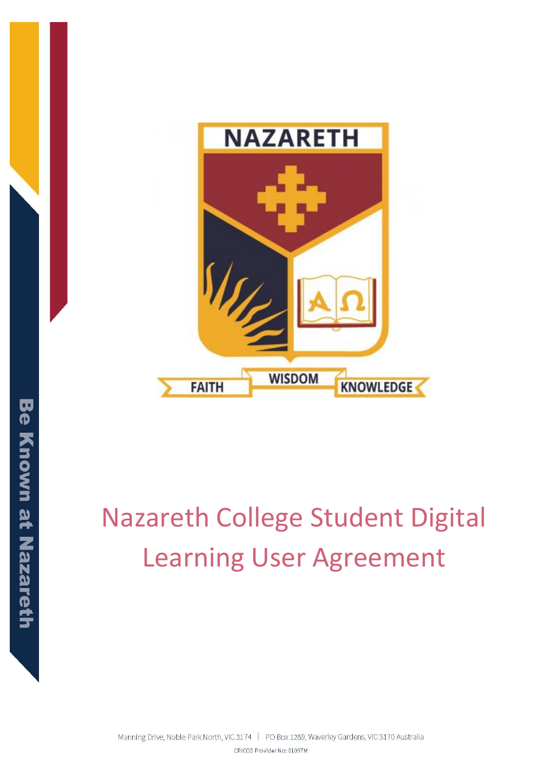

# Nazareth College Student Digital Learning User Agreement

Manning Drive, Noble Park North, VIC 3174 | PO Box 1289, Waverley Gardens, VIC 3170 Australia CRICOS Provider No: 01097M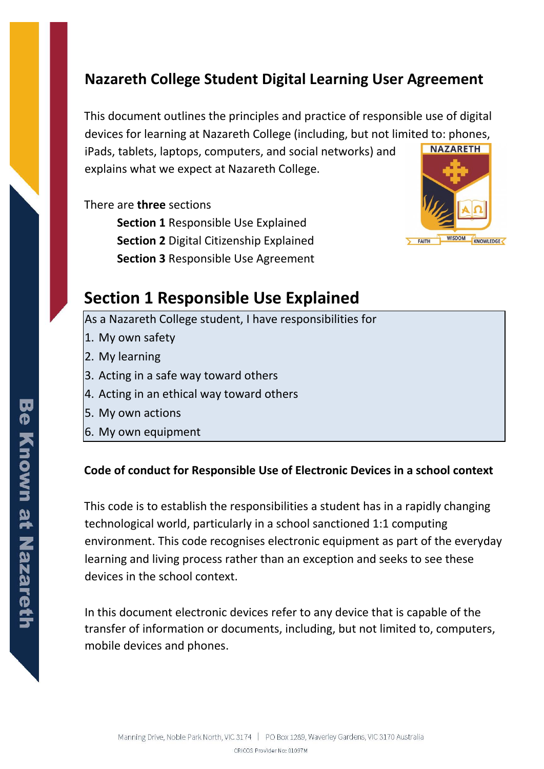# **Nazareth College Student Digital Learning User Agreement**

This document outlines the principles and practice of responsible use of digital devices for learning at Nazareth College (including, but not limited to: phones, **NAZARETH** iPads, tablets, laptops, computers, and social networks) and

explains what we expect at Nazareth College.

There are **three** sections

**Section 1** Responsible Use Explained **Section 2** Digital Citizenship Explained **Section 3** Responsible Use Agreement



# **Section 1 Responsible Use Explained**

As a Nazareth College student, I have responsibilities for

- 1. My own safety
- 2. My learning
- 3. Acting in a safe way toward others
- 4. Acting in an ethical way toward others
- 5. My own actions
- 6. My own equipment

#### **Code of conduct for Responsible Use of Electronic Devices in a school context**

This code is to establish the responsibilities a student has in a rapidly changing technological world, particularly in a school sanctioned 1:1 computing environment. This code recognises electronic equipment as part of the everyday learning and living process rather than an exception and seeks to see these devices in the school context.

In this document electronic devices refer to any device that is capable of the transfer of information or documents, including, but not limited to, computers, mobile devices and phones.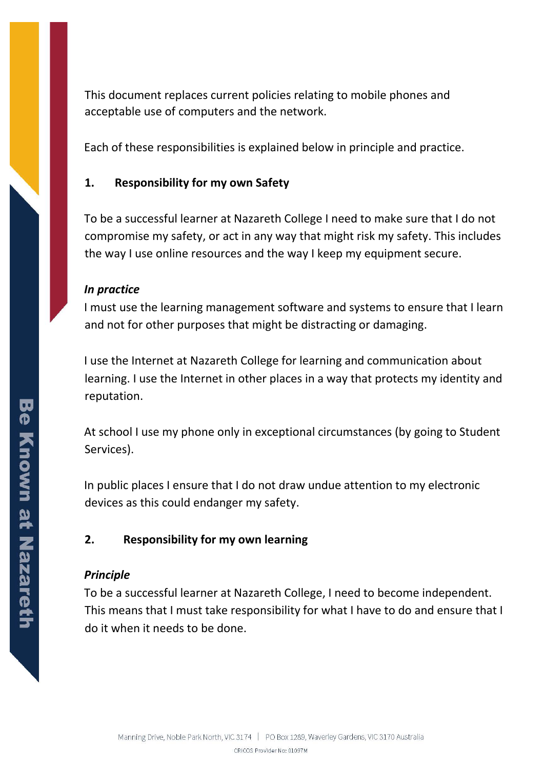This document replaces current policies relating to mobile phones and acceptable use of computers and the network.

Each of these responsibilities is explained below in principle and practice.

# **1. Responsibility for my own Safety**

To be a successful learner at Nazareth College I need to make sure that I do not compromise my safety, or act in any way that might risk my safety. This includes the way I use online resources and the way I keep my equipment secure.

#### *In practice*

I must use the learning management software and systems to ensure that I learn and not for other purposes that might be distracting or damaging.

I use the Internet at Nazareth College for learning and communication about learning. I use the Internet in other places in a way that protects my identity and reputation.

At school I use my phone only in exceptional circumstances (by going to Student Services).

In public places I ensure that I do not draw undue attention to my electronic devices as this could endanger my safety.

#### **2. Responsibility for my own learning**

#### *Principle*

To be a successful learner at Nazareth College, I need to become independent. This means that I must take responsibility for what I have to do and ensure that I do it when it needs to be done.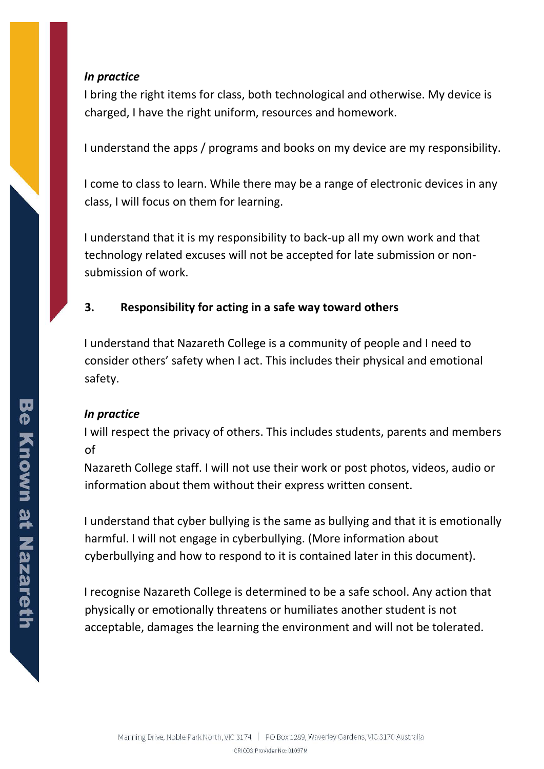#### *In practice*

I bring the right items for class, both technological and otherwise. My device is charged, I have the right uniform, resources and homework.

I understand the apps / programs and books on my device are my responsibility.

I come to class to learn. While there may be a range of electronic devices in any class, I will focus on them for learning.

I understand that it is my responsibility to back-up all my own work and that technology related excuses will not be accepted for late submission or nonsubmission of work.

# **3. Responsibility for acting in a safe way toward others**

I understand that Nazareth College is a community of people and I need to consider others' safety when I act. This includes their physical and emotional safety.

# *In practice*

I will respect the privacy of others. This includes students, parents and members of

Nazareth College staff. I will not use their work or post photos, videos, audio or information about them without their express written consent.

I understand that cyber bullying is the same as bullying and that it is emotionally harmful. I will not engage in cyberbullying. (More information about cyberbullying and how to respond to it is contained later in this document).

I recognise Nazareth College is determined to be a safe school. Any action that physically or emotionally threatens or humiliates another student is not acceptable, damages the learning the environment and will not be tolerated.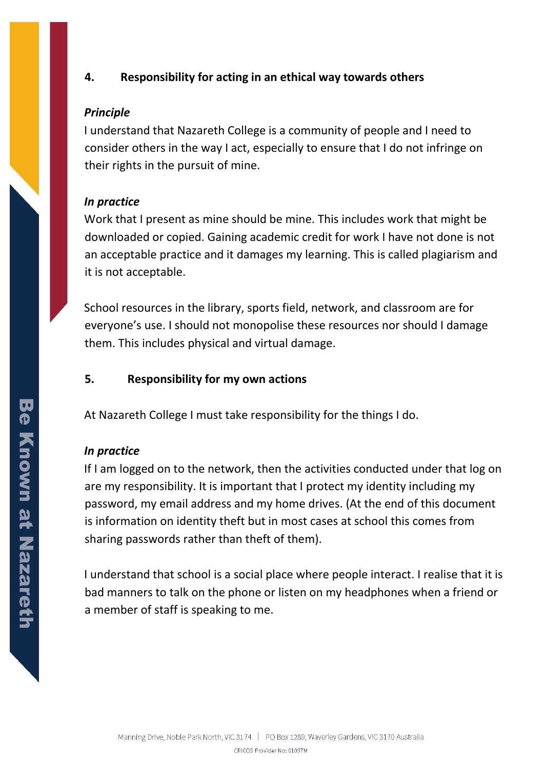# **4. Responsibility for acting in an ethical way towards others**

#### *Principle*

I understand that Nazareth College is a community of people and I need to consider others in the way I act, especially to ensure that I do not infringe on their rights in the pursuit of mine.

#### *In practice*

Work that I present as mine should be mine. This includes work that might be downloaded or copied. Gaining academic credit for work I have not done is not an acceptable practice and it damages my learning. This is called plagiarism and it is not acceptable.

School resources in the library, sports field, network, and classroom are for everyone's use. I should not monopolise these resources nor should I damage them. This includes physical and virtual damage.

# **5. Responsibility for my own actions**

At Nazareth College I must take responsibility for the things I do.

# *In practice*

If I am logged on to the network, then the activities conducted under that log on are my responsibility. It is important that I protect my identity including my password, my email address and my home drives. (At the end of this document is information on identity theft but in most cases at school this comes from sharing passwords rather than theft of them).

I understand that school is a social place where people interact. I realise that it is bad manners to talk on the phone or listen on my headphones when a friend or a member of staff is speaking to me.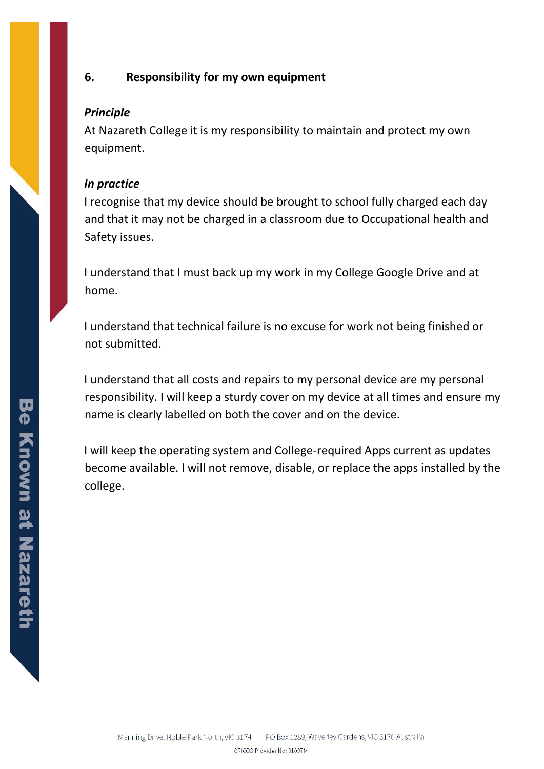# **6. Responsibility for my own equipment**

#### *Principle*

At Nazareth College it is my responsibility to maintain and protect my own equipment.

#### *In practice*

I recognise that my device should be brought to school fully charged each day and that it may not be charged in a classroom due to Occupational health and Safety issues.

I understand that I must back up my work in my College Google Drive and at home.

I understand that technical failure is no excuse for work not being finished or not submitted.

I understand that all costs and repairs to my personal device are my personal responsibility. I will keep a sturdy cover on my device at all times and ensure my name is clearly labelled on both the cover and on the device.

I will keep the operating system and College-required Apps current as updates become available. I will not remove, disable, or replace the apps installed by the college.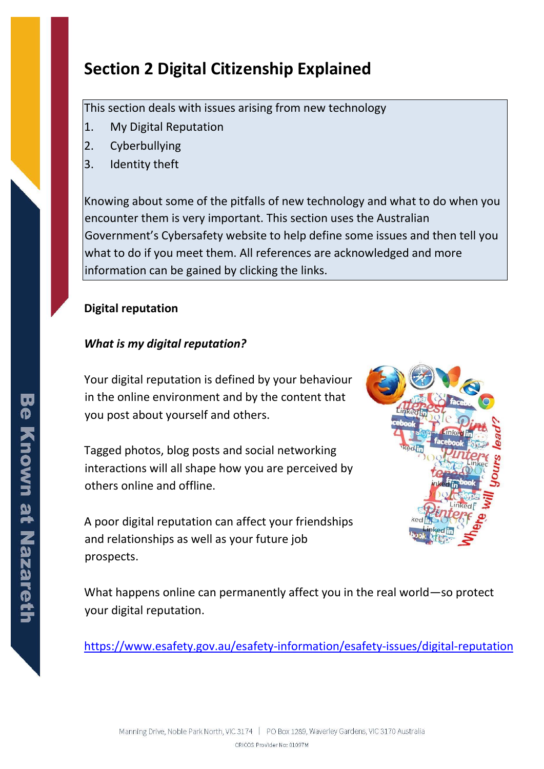# **Section 2 Digital Citizenship Explained**

This section deals with issues arising from new technology

- 1. My Digital Reputation
- 2. Cyberbullying
- 3. Identity theft

Knowing about some of the pitfalls of new technology and what to do when you encounter them is very important. This section uses the Australian Government's Cybersafety website to help define some issues and then tell you what to do if you meet them. All references are acknowledged and more information can be gained by clicking the links.

# **Digital reputation**

# *What is my digital reputation?*

Your digital reputation is defined by your behaviour in the online environment and by the content that you post about yourself and others.

Tagged photos, blog posts and social networking interactions will all shape how you are perceived by others online and offline.

A poor digital reputation can affect your friendships and relationships as well as your future job prospects.



What happens online can permanently affect you in the real world—so protect your digital reputation.

<https://www.esafety.gov.au/esafety-information/esafety-issues/digital-reputation>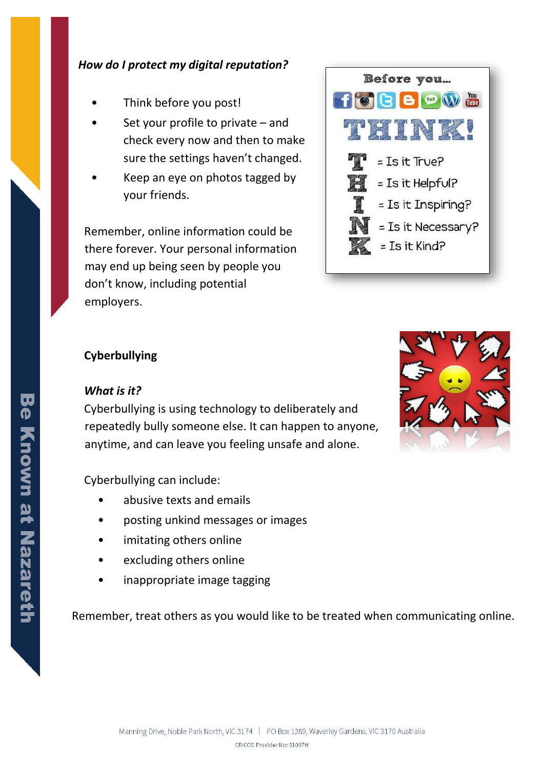#### *How do I protect my digital reputation?*

- Think before you post!
- Set your profile to private  $-$  and check every now and then to make sure the settings haven't changed.
- Keep an eye on photos tagged by your friends.

Remember, online information could be there forever. Your personal information may end up being seen by people you don't know, including potential employers.



# **Cyberbullying**

#### *What is it?*

Cyberbullying is using technology to deliberately and repeatedly bully someone else. It can happen to anyone, anytime, and can leave you feeling unsafe and alone.

Cyberbullying can include:

- abusive texts and emails
- posting unkind messages or images
- imitating others online
- excluding others online
- inappropriate image tagging

Remember, treat others as you would like to be treated when communicating online.

![](_page_7_Picture_16.jpeg)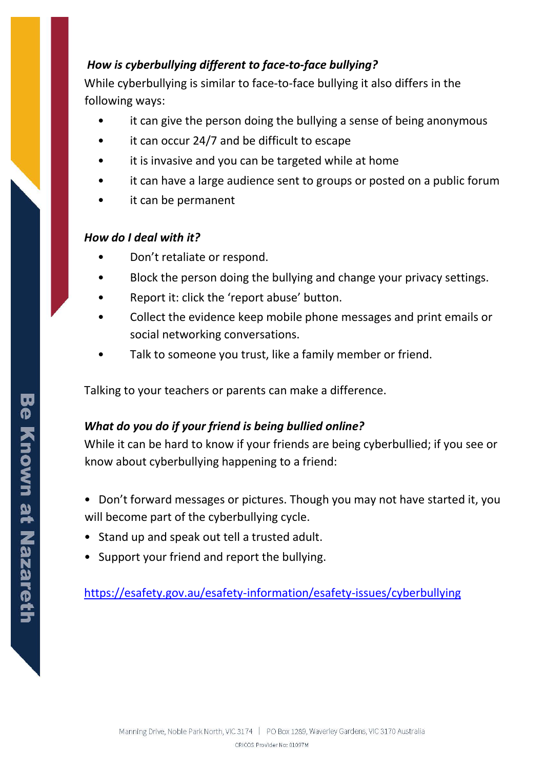# *How is cyberbullying different to face-to-face bullying?*

While cyberbullying is similar to face-to-face bullying it also differs in the following ways:

- it can give the person doing the bullying a sense of being anonymous
- it can occur 24/7 and be difficult to escape
- it is invasive and you can be targeted while at home
- it can have a large audience sent to groups or posted on a public forum
- it can be permanent

## *How do I deal with it?*

- Don't retaliate or respond.
- Block the person doing the bullying and change your privacy settings.
- Report it: click the 'report abuse' button.
- Collect the evidence keep mobile phone messages and print emails or social networking conversations.
- Talk to someone you trust, like a family member or friend.

Talking to your teachers or parents can make a difference.

# *What do you do if your friend is being bullied online?*

While it can be hard to know if your friends are being cyberbullied; if you see or know about cyberbullying happening to a friend:

- Don't forward messages or pictures. Though you may not have started it, you will become part of the cyberbullying cycle.
- Stand up and speak out tell a trusted adult.
- Support your friend and report the bullying.

<https://esafety.gov.au/esafety-information/esafety-issues/cyberbullying>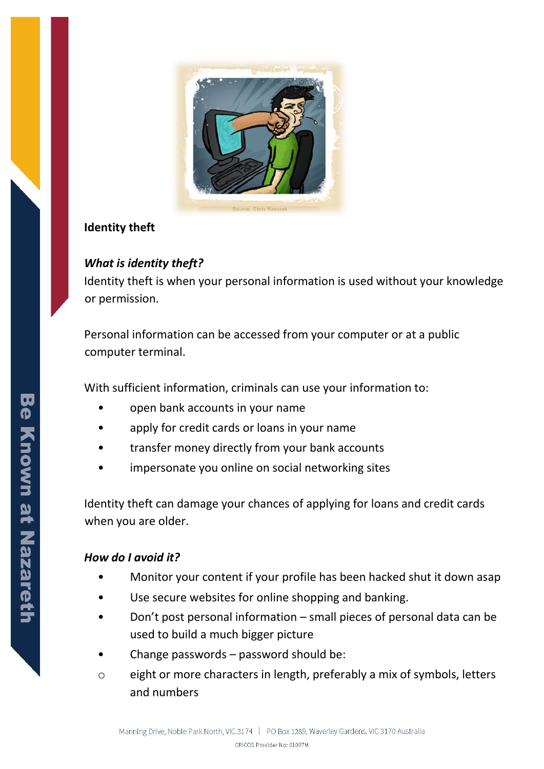![](_page_9_Picture_0.jpeg)

## **Identity theft**

# *What is identity theft?*

Identity theft is when your personal information is used without your knowledge or permission.

Personal information can be accessed from your computer or at a public computer terminal.

With sufficient information, criminals can use your information to:

- open bank accounts in your name
- apply for credit cards or loans in your name
- transfer money directly from your bank accounts
- impersonate you online on social networking sites

Identity theft can damage your chances of applying for loans and credit cards when you are older.

# *How do I avoid it?*

- Monitor your content if your profile has been hacked shut it down asap
- Use secure websites for online shopping and banking.
- Don't post personal information small pieces of personal data can be used to build a much bigger picture
- Change passwords password should be:
- o eight or more characters in length, preferably a mix of symbols, letters and numbers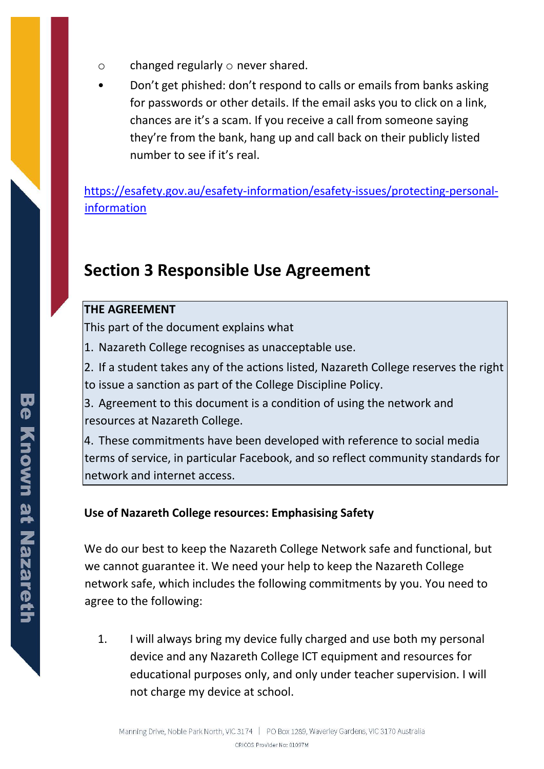- $\circ$  changed regularly  $\circ$  never shared.
- Don't get phished: don't respond to calls or emails from banks asking for passwords or other details. If the email asks you to click on a link, chances are it's a scam. If you receive a call from someone saying they're from the bank, hang up and call back on their publicly listed number to see if it's real.

[https://esafety.gov.au/esafety-information/esafety-issues/protecting-personal](https://esafety.gov.au/esafety-information/esafety-issues/protecting-personal-information)[information](https://esafety.gov.au/esafety-information/esafety-issues/protecting-personal-information)

# **Section 3 Responsible Use Agreement**

#### **THE AGREEMENT**

This part of the document explains what

1. Nazareth College recognises as unacceptable use.

2. If a student takes any of the actions listed, Nazareth College reserves the right to issue a sanction as part of the College Discipline Policy.

3. Agreement to this document is a condition of using the network and resources at Nazareth College.

4. These commitments have been developed with reference to social media terms of service, in particular Facebook, and so reflect community standards for network and internet access.

# **Use of Nazareth College resources: Emphasising Safety**

We do our best to keep the Nazareth College Network safe and functional, but we cannot guarantee it. We need your help to keep the Nazareth College network safe, which includes the following commitments by you. You need to agree to the following:

1. I will always bring my device fully charged and use both my personal device and any Nazareth College ICT equipment and resources for educational purposes only, and only under teacher supervision. I will not charge my device at school.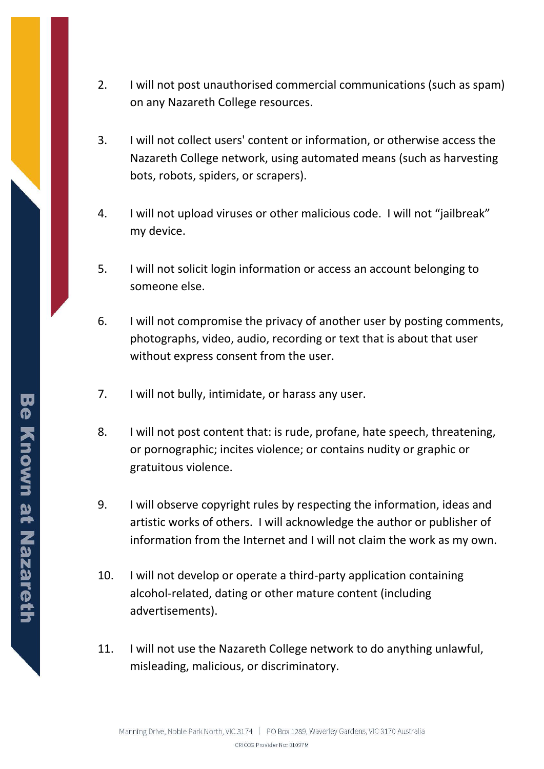- 2. I will not post unauthorised commercial communications (such as spam) on any Nazareth College resources.
- 3. I will not collect users' content or information, or otherwise access the Nazareth College network, using automated means (such as harvesting bots, robots, spiders, or scrapers).
- 4. I will not upload viruses or other malicious code. I will not "jailbreak" my device.
- 5. I will not solicit login information or access an account belonging to someone else.
- 6. I will not compromise the privacy of another user by posting comments, photographs, video, audio, recording or text that is about that user without express consent from the user.
- 7. I will not bully, intimidate, or harass any user.
- 8. I will not post content that: is rude, profane, hate speech, threatening, or pornographic; incites violence; or contains nudity or graphic or gratuitous violence.
- 9. I will observe copyright rules by respecting the information, ideas and artistic works of others. I will acknowledge the author or publisher of information from the Internet and I will not claim the work as my own.
- 10. I will not develop or operate a third-party application containing alcohol-related, dating or other mature content (including advertisements).
- 11. I will not use the Nazareth College network to do anything unlawful, misleading, malicious, or discriminatory.